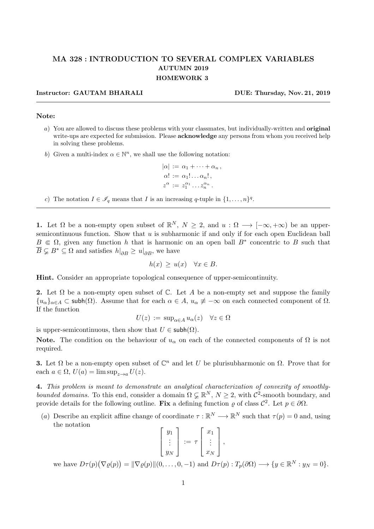## MA 328 : INTRODUCTION TO SEVERAL COMPLEX VARIABLES AUTUMN 2019 HOMEWORK 3

## Instructor: GAUTAM BHARALI DUE: Thursday, Nov. 21, 2019

## Note:

- a) You are allowed to discuss these problems with your classmates, but individually-written and original write-ups are expected for submission. Please **acknowledge** any persons from whom you received help in solving these problems.
- b) Given a multi-index  $\alpha \in \mathbb{N}^n$ , we shall use the following notation:

$$
|\alpha| := \alpha_1 + \cdots + \alpha_n,
$$
  
\n
$$
\alpha! := \alpha_1! \dots \alpha_n!,
$$
  
\n
$$
z^{\alpha} := z_1^{\alpha_1} \dots z_n^{\alpha_n}.
$$

c) The notation  $I \in \mathscr{I}_q$  means that I is an increasing q-tuple in  $\{1, \ldots, n\}^q$ .

**1.** Let  $\Omega$  be a non-empty open subset of  $\mathbb{R}^N$ ,  $N \geq 2$ , and  $u : \Omega \longrightarrow [-\infty, +\infty)$  be an uppersemicontinuous function. Show that  $u$  is subharmonic if and only if for each open Euclidean ball  $B \in \Omega$ , given any function h that is harmonic on an open ball  $B^*$  concentric to B such that  $\overline{B} \subsetneq B^* \subseteq \Omega$  and satisfies  $h|_{\partial B} \geq u|_{\partial B}$ , we have

$$
h(x) \ge u(x) \quad \forall x \in B.
$$

Hint. Consider an appropriate topological consequence of upper-semicontinuity.

2. Let  $\Omega$  be a non-empty open subset of  $\mathbb C$ . Let A be a non-empty set and suppose the family  ${u_{\alpha}}_{\alpha\in A} \subset \text{subh}(\Omega)$ . Assume that for each  $\alpha \in A$ ,  $u_{\alpha} \not\equiv -\infty$  on each connected component of  $\Omega$ . If the function

$$
U(z) := \sup_{\alpha \in A} u_{\alpha}(z) \quad \forall z \in \Omega
$$

is upper-semicontinuous, then show that  $U \in \mathsf{subh}(\Omega)$ .

**Note.** The condition on the behaviour of  $u_{\alpha}$  on each of the connected components of  $\Omega$  is not required.

**3.** Let  $\Omega$  be a non-empty open subset of  $\mathbb{C}^n$  and let U be plurisubharmonic on  $\Omega$ . Prove that for each  $a \in \Omega$ ,  $U(a) = \limsup_{z \to a} U(z)$ .

4. This problem is meant to demonstrate an analytical characterization of convexity of smoothlybounded domains. To this end, consider a domain  $\Omega \subsetneq \mathbb{R}^N$ ,  $N \geq 2$ , with  $\mathcal{C}^2$ -smooth boundary, and provide details for the following outline. Fix a defining function  $\varrho$  of class  $\mathcal{C}^2$ . Let  $p \in \partial \Omega$ .

(a) Describe an explicit affine change of coordinate  $\tau : \mathbb{R}^N \longrightarrow \mathbb{R}^N$  such that  $\tau(p) = 0$  and, using the notation

|               | $y_1$           |                                     | $x_1$      |            |
|---------------|-----------------|-------------------------------------|------------|------------|
|               | $\frac{1}{2}$ . | $:= \tau$   :                       |            |            |
|               | $y_N$           |                                     | $x_N$      |            |
| $\sqrt{1170}$ |                 | $\rightarrow$<br>$\curvearrowright$ | $\sqrt{ }$ | $\pi$ (00) |

we have  $D\tau(p)(\nabla \varrho(p)) = ||\nabla \varrho(p)||(0, \ldots, 0, -1)$  and  $D\tau(p) : T_p(\partial \Omega) \longrightarrow \{y \in \mathbb{R}^N : y_N = 0\}.$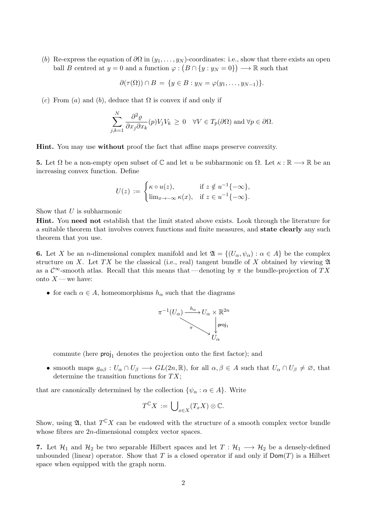(b) Re-express the equation of  $\partial\Omega$  in  $(y_1, \ldots, y_N)$ -coordinates: i.e., show that there exists an open ball B centred at  $y = 0$  and a function  $\varphi : (B \cap \{y : y_N = 0\}) \longrightarrow \mathbb{R}$  such that

$$
\partial(\tau(\Omega)) \cap B = \{y \in B : y_N = \varphi(y_1, \dots, y_{N-1})\}.
$$

(c) From (a) and (b), deduce that  $\Omega$  is convex if and only if

$$
\sum_{j,k=1}^N \frac{\partial^2 \varrho}{\partial x_j \partial x_k}(p) V_j V_k \ge 0 \quad \forall V \in T_p(\partial \Omega) \text{ and } \forall p \in \partial \Omega.
$$

Hint. You may use without proof the fact that affine maps preserve convexity.

**5.** Let  $\Omega$  be a non-empty open subset of  $\mathbb C$  and let u be subharmonic on  $\Omega$ . Let  $\kappa : \mathbb R \longrightarrow \mathbb R$  be an increasing convex function. Define

$$
U(z) := \begin{cases} \kappa \circ u(z), & \text{if } z \notin u^{-1}\{-\infty\}, \\ \lim_{x \to -\infty} \kappa(x), & \text{if } z \in u^{-1}\{-\infty\}. \end{cases}
$$

Show that  $U$  is subharmonic

Hint. You need not establish that the limit stated above exists. Look through the literature for a suitable theorem that involves convex functions and finite measures, and state clearly any such theorem that you use.

6. Let X be an n-dimensional complex manifold and let  $\mathfrak{A} = \{ (U_\alpha, \psi_\alpha) : \alpha \in A \}$  be the complex structure on X. Let TX be the classical (i.e., real) tangent bundle of X obtained by viewing  $\mathfrak A$ as a  $\mathcal{C}^{\infty}$ -smooth atlas. Recall that this means that — denoting by  $\pi$  the bundle-projection of TX onto  $X$  — we have:

• for each  $\alpha \in A$ , homeomorphisms  $h_{\alpha}$  such that the diagrams

$$
\pi^{-1}(U_{\alpha}) \xrightarrow{h_{\alpha}} U_{\alpha} \times \mathbb{R}^{2n}
$$
\n
$$
\uparrow \qquad \qquad \downarrow \qquad \qquad \downarrow \qquad \text{proj}_1
$$
\n
$$
U_{\alpha}
$$

commute (here  $proj_1$  denotes the projection onto the first factor); and

• smooth maps  $g_{\alpha\beta}: U_{\alpha}\cap U_{\beta}\longrightarrow GL(2n,\mathbb{R})$ , for all  $\alpha,\beta\in A$  such that  $U_{\alpha}\cap U_{\beta}\neq\emptyset$ , that determine the transition functions for  $TX$ ;

that are canonically determined by the collection  $\{\psi_{\alpha} : \alpha \in A\}$ . Write

$$
T^{\mathbb{C}}X := \bigcup_{x \in X} (T_x X) \otimes \mathbb{C}.
$$

Show, using  $\mathfrak{A}$ , that  $T^{\mathbb{C}}X$  can be endowed with the structure of a smooth complex vector bundle whose fibres are 2*n*-dimensional complex vector spaces.

7. Let  $\mathcal{H}_1$  and  $\mathcal{H}_2$  be two separable Hilbert spaces and let  $T : \mathcal{H}_1 \longrightarrow \mathcal{H}_2$  be a densely-defined unbounded (linear) operator. Show that T is a closed operator if and only if  $Dom(T)$  is a Hilbert space when equipped with the graph norm.